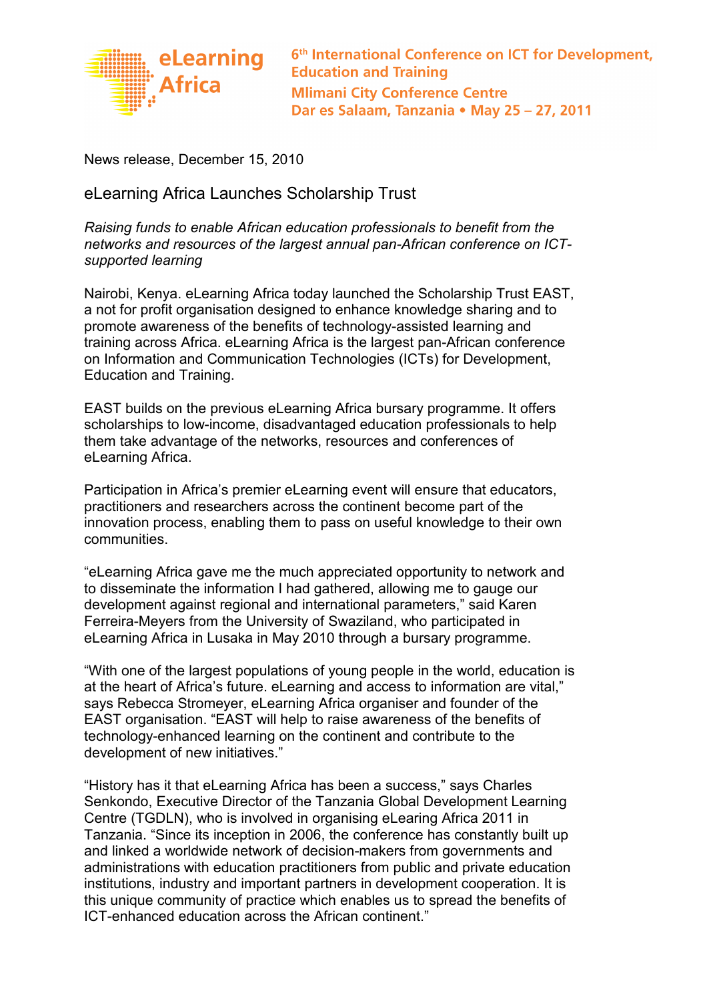

6<sup>th</sup> International Conference on ICT for Development, **Education and Training Mlimani City Conference Centre** Dar es Salaam, Tanzania • May 25 - 27, 2011

News release, December 15, 2010

eLearning Africa Launches Scholarship Trust

Raising funds to enable African education professionals to benefit from the networks and resources of the largest annual pan-African conference on ICTsupported learning

Nairobi, Kenya. eLearning Africa today launched the Scholarship Trust EAST, a not for profit organisation designed to enhance knowledge sharing and to promote awareness of the benefits of technology-assisted learning and training across Africa. eLearning Africa is the largest pan-African conference on Information and Communication Technologies (ICTs) for Development, Education and Training.

EAST builds on the previous eLearning Africa bursary programme. It offers scholarships to low-income, disadvantaged education professionals to help them take advantage of the networks, resources and conferences of eLearning Africa.

Participation in Africa's premier eLearning event will ensure that educators, practitioners and researchers across the continent become part of the innovation process, enabling them to pass on useful knowledge to their own communities.

"eLearning Africa gave me the much appreciated opportunity to network and to disseminate the information I had gathered, allowing me to gauge our development against regional and international parameters," said Karen Ferreira-Meyers from the University of Swaziland, who participated in eLearning Africa in Lusaka in May 2010 through a bursary programme.

"With one of the largest populations of young people in the world, education is at the heart of Africa's future. eLearning and access to information are vital," says Rebecca Stromeyer, eLearning Africa organiser and founder of the EAST organisation. "EAST will help to raise awareness of the benefits of technology-enhanced learning on the continent and contribute to the development of new initiatives."

"History has it that eLearning Africa has been a success," says Charles Senkondo, Executive Director of the Tanzania Global Development Learning Centre (TGDLN), who is involved in organising eLearing Africa 2011 in Tanzania. "Since its inception in 2006, the conference has constantly built up and linked a worldwide network of decision-makers from governments and administrations with education practitioners from public and private education institutions, industry and important partners in development cooperation. It is this unique community of practice which enables us to spread the benefits of ICT-enhanced education across the African continent."